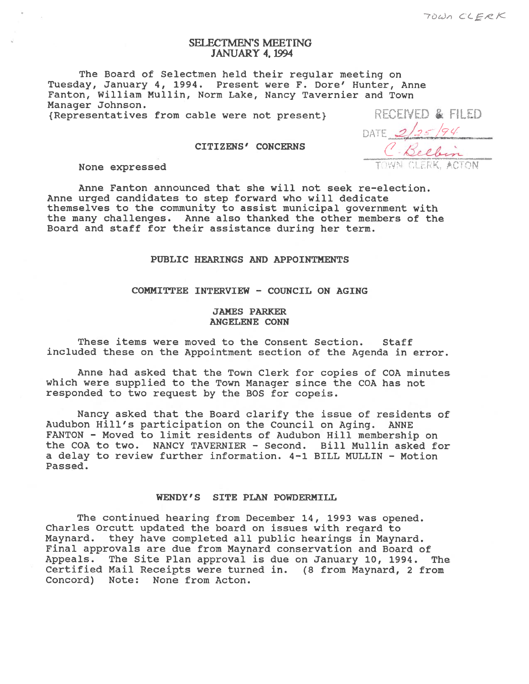# SELECTMEN'S MEETNG JANUARY 4, 1994

The Board of Selectmen held their regular meeting on Tuesday, January 4, 1994. Present were F. Dore' Hunter, Anne Fanton, William Mullin, Norm Lake, Nancy Tavernier and Town Manager Johnson. RECEIVED & FILED

{Representatives from cable were not present}

CITIZENS' CONCERNS

None expressed

Anne Fanton announced that she will not seek re-election. Anne urged candidates to step forward who will dedicate themselves to the community to assist municipal governmen<sup>t</sup> with the many challenges. Anne also thanked the other members of the Board and staff for their assistance during her term.

### PUBLIC HEARINGS AND APPOINTMENTS

COMMITTEE INTERVIEW - COUNCIL ON AGING

### JAMES PARKER ANGELENE CONN

These items were moved to the Consent Section. Staff included these on the Appointment section of the Agenda in error.

Anne had asked that the Town Clerk for copies of COA minutes which were supplied to the Town Manager since the COA has not responded to two reques<sup>t</sup> by the BOS for copeis.

Nancy asked that the Board clarify the issue of residents of Audubon Hill's participation on the Council on Aging. ANNE FANTON - Moved to limit residents of Audubon Hill membership on the CQA to two. NANCY TAVERNIER - Second. Bill Mullin asked for <sup>a</sup> delay to review further information. 4-1 BILL MULLIN - Motion Passed.

### WENDY'S SITE PLAN POWDERMILL

The continued hearing from December 14, 1993 was opened. Charles Orcutt updated the board on issues with regard to Maynard. they have completed all public hearings in Maynard. Final approvals are due from Maynard conservation and Board of Appeals. The Site Plan approval is due on January 10, 1994. The Certified Mail Receipts were turned in. (8 from Maynard, 2 from Concord) Note: None from Acton.

DATE 2/25/94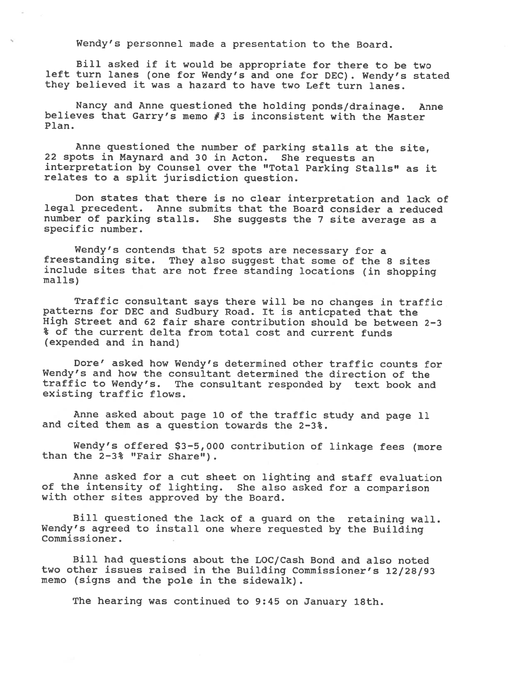Wendy's personnel made <sup>a</sup> presentation to the Board.

Bill asked if it would be appropriate for there to be two left turn lanes (one for Wendy's and one for DEC). Wendy's stated they believed it was <sup>a</sup> hazard to have two Left turn lanes.

Nancy and Anne questioned the holding ponds/drainage. Anne believes that Carry's memo #3 is inconsistent with the Master Plan.

Anne questioned the number of parking stalls at the site, <sup>22</sup> spots in Maynard and <sup>30</sup> in Acton. She requests an interpretation by Counsel over the "Total Parking Stalls" as it relates to <sup>a</sup> split jurisdiction question.

Don states that there is no clear interpretation and lack of legal precedent. Anne submits that the Board consider <sup>a</sup> reduced number of parking stalls. She suggests the <sup>7</sup> site average as <sup>a</sup> specific number.

Wendy's contends that <sup>52</sup> spots are necessary for <sup>a</sup> freestanding site. They also sugges<sup>t</sup> that some of the <sup>8</sup> sites include sites that are not free standing locations (in shopping malls)

Traffic consultant says there will be no changes in traffic patterns for DEC and Sudbury Road. It is anticpated that the High Street and 62 fair share contribution should be between 2-3 % of the current delta from total cost and current funds (expended and in hand)

Dore' asked how Wendy's determined other traffic counts for Wendy's and how the consultant determined the direction of the traffic to Wendy's. The consultant responded by text book and existing traffic flows.

Anne asked about page <sup>10</sup> of the traffic study and page <sup>11</sup> and cited them as <sup>a</sup> question towards the 2-3%.

Wendy's offered \$3-5,000 contribution of linkage fees (more than the 2-3% "Fair Share").

Anne asked for <sup>a</sup> cut sheet on lighting and staff evaluation of the intensity of lighting. She also asked for <sup>a</sup> comparison with other sites approved by the Board.

Bill questioned the lack of <sup>a</sup> guar<sup>d</sup> on the retaining wall. Wendy's agree<sup>d</sup> to install one where requested by the Building Commissioner.

Bill had questions about the LOC/Cash Bond and also noted two other issues raised in the Building Commissioner's 12/28/93 memo (signs and the pole in the sidewalk).

The hearing was continued to 9:45 on January 18th.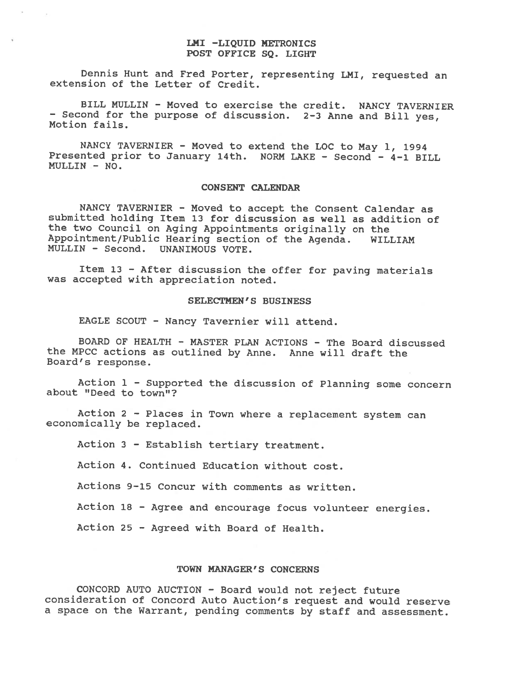### LMI -LIQUID METRONICS POST OFFICE SQ. LIGHT

Dennis Hunt and Fred Porter, representing LMI, requested an extension of the Letter of Credit.

BILL MULLIN - Moved to exercise the credit. NANCY TAVERNIER — Second for the purpose of discussion. 2—3 Anne and Bill yes, Motion fails.

NANCY TAVERNIER - Moved to extend the LOC to May 1, <sup>1994</sup> Presented prior to January 14th. NORM LAKE - Second - 4-1 BILL  $MULTN - NO.$ 

### CONSENT CALENDAR

NANCY TAVERNIER - Moved to accept the Consent Calendar as submitted holding Item 13 for discussion as well as addition of the two Council on Aging Appointments originally on the Appointment/Public Hearing section of the Agenda. WILLIAM MULLIN - Second. UNANIMOUS VOTE.

Item <sup>13</sup> — After discussion the offer for paving materials was accepted with appreciation noted.

# SELECTMEN'S BUSINESS

EAGLE SCOUT - Nancy Tavernier will attend.

BOARD OF HEALTH - MASTER PLAN ACTIONS - The Board discussed the MPCC actions as outlined by Anne. Anne will draft the Board's response.

Action <sup>1</sup> — Supported the discussion of Planning some concern about "Deed to town"?

Action <sup>2</sup> — Places in Town where <sup>a</sup> replacement system can economically be replaced.

Action <sup>3</sup> - Establish tertiary treatment.

Action 4. Continued Education without cost.

Actions 9—15 Concur with comments as written.

Action <sup>18</sup> — Agree and encourage focus volunteer energies.

Action 25 - Agreed with Board of Health.

### TOWN MANAGER'S CONCERNS

CONCORD AUTO AUCTION - Board would not reject future consideration of Concord Auto Auction's request and would reserve <sup>a</sup> space on the Warrant, pending comments by staff and assessment.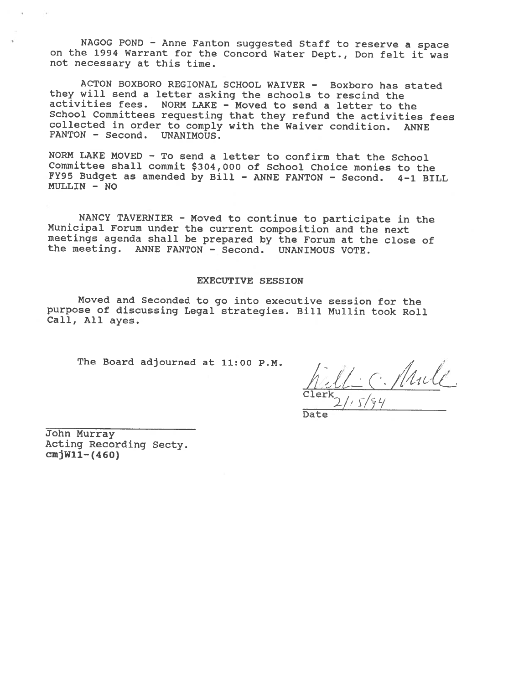NAGOG POND - Anne Fanton suggested Staff to reserve <sup>a</sup> space on the <sup>1994</sup> Warrant for the Concord Water Dept., Don felt it was not necessary at this time.

ACTON BOXBORO REGIONAL SCHOOL WAIVER - Boxboro has stated they will send <sup>a</sup> letter asking the schools to rescind the activities fees. NORM LAKE - Moved to send <sup>a</sup> letter to the School Committees requesting that they refund the activities fees collected in order to comply with the Waiver condition. ANNE<br>FANTON - Second. UNANIMOUS.  $FANTON - Second.$ 

NORM LAKE MOVED - To send <sup>a</sup> letter to confirm that the School Committee shall commit \$304,000 of School Choice monies to the FY95 Budget as amended by Bill - ANNE FANTON - Second. 4-1 BILL MULLIN - NO

NANCY TAVERNIER - Moved to continue to participate in the Municipal Forum under the current composition and the next meetings agenda shall be prepared by the Forum at the close of the meeting. ANNE FANTON - Second. UNANIMOUS VOTE.

### EXECUTIVE SESSION

Moved and Seconded to go into executive session for the purpose of discussing Legal strategies. Bill Mullin took Roll Call, All ayes.

The Board adjourned at 11:00 P.M.<br> $n.$  ,  $n.$  ,  $n.$  ,  $n.$  ,  $n.$  ,  $n.$  ,  $n.$  ,  $n.$  ,  $n.$  ,  $n.$  ,  $n.$  ,  $n.$  ,  $n.$  ,  $n.$  ,  $n.$  ,  $n.$  ,  $n.$  ,  $n.$  ,  $n.$  ,  $n.$  ,  $n.$  ,  $n.$  ,  $n.$  ,  $n.$  ,  $n.$  ,  $n.$  ,  $n.$   $\left(\begin{array}{c} 1 \ 1 \end{array}\right)$  $\frac{\texttt{Clearly}}{2}$ /

Date

John Murray Acting Recording Secty.  $cnjW11-(460)$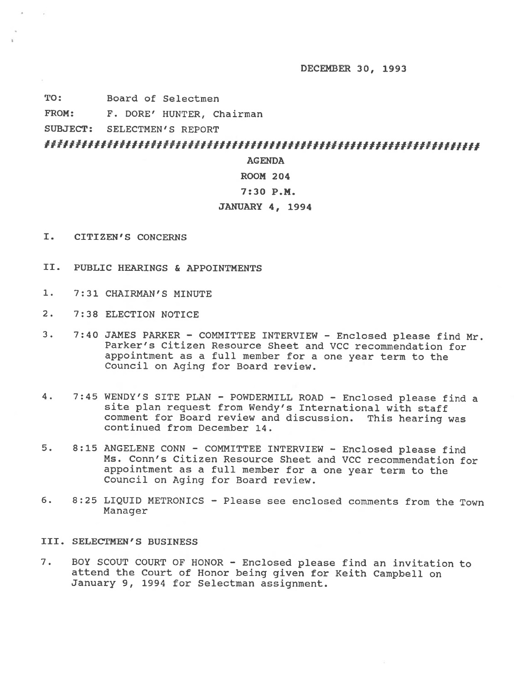DECEMBER 30, 1993

TO: Board of Selectmen

FROM: F. DORE' HUNTER, Chairman

SUBJECT: SELECTMEN'S REPORT

####I##If#1#1I###IIf#111I#fIf#111111#111111#11#1I##ff#111111II

## AGENDA

# ROOM 204

## 7:30 P.M.

### JANUARY 4, 1994

- I. CITIZEN'S CONCERNS
- II. PUBLIC HEARINGS & APPOINTMENTS
- 1. 7:31 CHAIRMAN'S MINUTE
- 2. 7:38 ELECTION NOTICE
- 3. 7:40 JAMES PARKER COMMITTEE INTERVIEW Enclosed <sup>p</sup>lease find Mr. Parker's Citizen Resource Sheet and VCC recommendation for appointment as <sup>a</sup> full member for <sup>a</sup> one year term to the Council on Aging for Board review.
- 4. 7:45 WENDY'S SITE PLAN POWDERNILL ROAD Enclosed <sup>p</sup>lease find <sup>a</sup> site <sup>p</sup>lan request from Wendy's International with staff comment for Board review and discussion. This hearing was continued from December 14.
- 5. 8:15 ANGELENE CONN COMMITTEE INTERVIEW Enclosed please find Ms. Conn's Citizen Resource Sheet and VCC recommendation for appointment as <sup>a</sup> full member for <sup>a</sup> one year term to the Council on Aging for Board review.
- 6. 8:25 LIQUID METRONICS Please see enclosed comments from the Town Manager

# III. SELECTMEN'S BUSINESS

7. BOY SCOUT COURT OF HONOR - Enclosed <sup>p</sup>lease find an invitation to attend the Court of Honor being <sup>g</sup>iven for Keith Campbell on January 9, 1994 for Selectman assignment.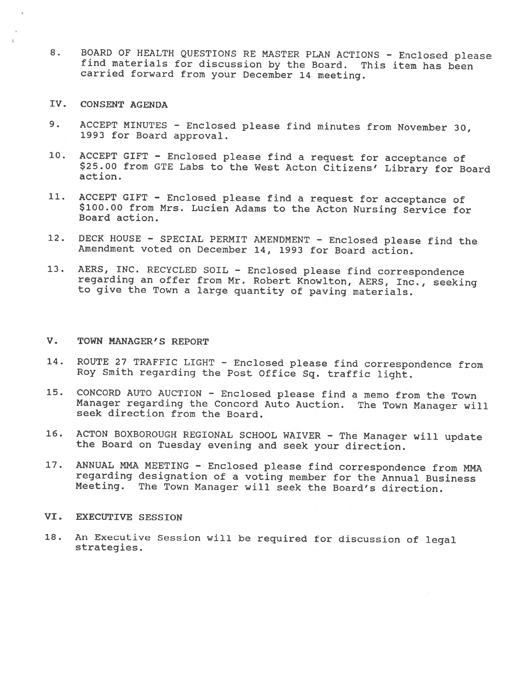- 8. BOARD Of HEALTH QUESTIONS RE MASTER PLAN ACTIONS Enclosed <sup>p</sup>lease find materials for discussion by the Board. This item has been carried forward from your December <sup>14</sup> meeting.
- IV. CONSENT AGENDA
- 9. ACCEPT MINUTES Enclosed please find minutes from November 30,<br>1993 for Board approval.
- 10. ACCEPT GIFT Enclosed <sup>p</sup>lease find <sup>a</sup> request for acceptance of \$25.00 from GTE Labs to the West Acton Citizens' Library for Board action.
- 11. ACCEPT GIFT Enclosed <sup>p</sup>lease find <sup>a</sup> request for acceptance of \$100.00 from Mrs. Lucien Adams to the Acton Nursing Service for Board action.
- 12. DECK HOUSE SPECIAL PERMIT AMENDMENT Enclosed <sup>p</sup>lease find the Amendment voted on December 14, 1993 for Board action.
- 13. AERS, INC. RECYCLED SOIL Enclosed <sup>p</sup>lease find correspondence regarding an offer from Mr. Robert Knowlton, AERS, Inc., seeking to <sup>g</sup>ive the Town <sup>a</sup> large quantity of paving materials.

## V. TOWN MANAGER'S REPORT

- 14. ROUTE <sup>27</sup> TRAFFIC LIGHT Enclosed <sup>p</sup>lease find correspondence from Roy Smith regarding the Post Office sq. traffic light.
- 15. CONCORD AUTO AUCTION Enclosed <sup>p</sup>lease find <sup>a</sup> memo from the Town Manager regarding the Concord Auto Auction. The Town Manager will seek direction from the Board.
- 16. ACTON BOXBOROUGH REGIONAL SCHOOL WAIVER The Manager will update the Board on Tuesday evening and seek your direction.
- 17. ANNUAL MMA MEETING Enclosed please find correspondence from MMA regarding designation of <sup>a</sup> voting member for the Annual Business Meeting. The Town Manager will seek the Board's direction.

## VI. EXECUTIVE SESSION

18. An Executive Session will be required for discussion of legal strategies.